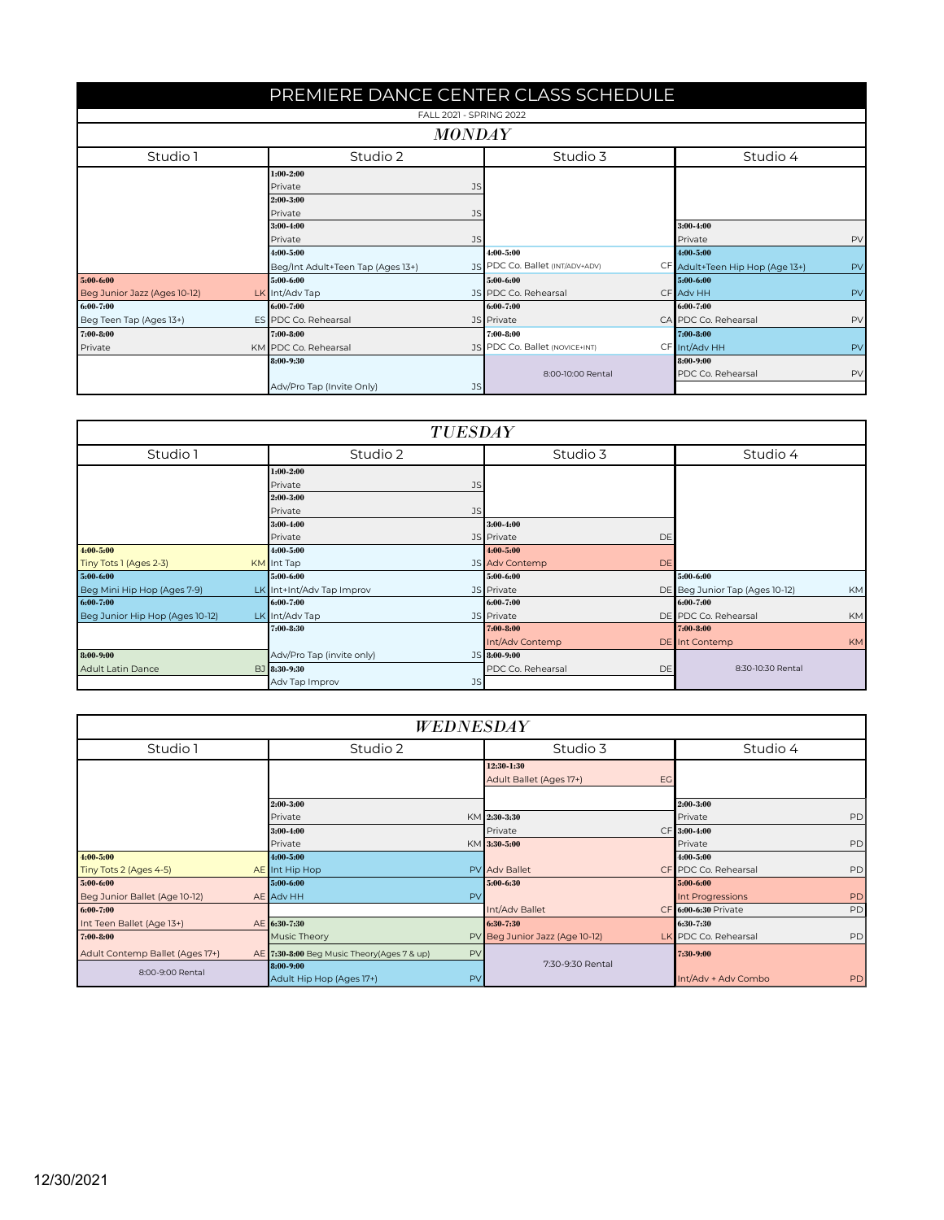| PREMIERE DANCE CENTER CLASS SCHEDULE |                                        |                                 |                                       |  |  |  |  |
|--------------------------------------|----------------------------------------|---------------------------------|---------------------------------------|--|--|--|--|
|                                      | FALL 2021 - SPRING 2022                |                                 |                                       |  |  |  |  |
| <b>MONDAY</b>                        |                                        |                                 |                                       |  |  |  |  |
| Studio 1                             | Studio 2                               | Studio 3                        | Studio 4                              |  |  |  |  |
|                                      | $1:00 - 2:00$                          |                                 |                                       |  |  |  |  |
|                                      | Private<br>JS                          |                                 |                                       |  |  |  |  |
|                                      | 2:00-3:00<br>Private                   |                                 |                                       |  |  |  |  |
|                                      | JS<br>3:00-4:00                        |                                 | 3:00-4:00                             |  |  |  |  |
| Private                              |                                        | JS                              | Private<br>PV                         |  |  |  |  |
|                                      | 4:00-5:00                              | 4:00-5:00                       | 4:00-5:00                             |  |  |  |  |
|                                      | Beg/Int Adult+Teen Tap (Ages 13+)      | JS PDC Co. Ballet (INT/ADV+ADV) | CF Adult+Teen Hip Hop (Age 13+)<br>PV |  |  |  |  |
| 5:00-6:00                            | 5:00-6:00                              | 5:00-6:00                       | 5:00-6:00                             |  |  |  |  |
| Beg Junior Jazz (Ages 10-12)         | LK Int/Adv Tap                         | JS PDC Co. Rehearsal            | PV<br>CF Adv HH                       |  |  |  |  |
| 6:00-7:00                            | 6:00-7:00                              | 6:00-7:00                       | 6:00-7:00                             |  |  |  |  |
| Beg Teen Tap (Ages 13+)              | ES PDC Co. Rehearsal                   | JS Private                      | CA PDC Co. Rehearsal<br>PV            |  |  |  |  |
| 7:00-8:00                            | 7:00-8:00                              | 7:00-8:00                       | 7:00-8:00                             |  |  |  |  |
| Private                              | KM PDC Co. Rehearsal                   | JS PDC Co. Ballet (NOVICE+INT)  | CF Int/Adv HH<br>PV                   |  |  |  |  |
|                                      | 8:00-9:30                              |                                 | 8:00-9:00                             |  |  |  |  |
|                                      |                                        | 8:00-10:00 Rental               | PDC Co. Rehearsal<br>PV               |  |  |  |  |
|                                      | Adv/Pro Tap (Invite Only)<br><b>JS</b> |                                 |                                       |  |  |  |  |

| <b>TUESDAY</b>                  |  |                           |                             |                                             |  |
|---------------------------------|--|---------------------------|-----------------------------|---------------------------------------------|--|
| Studio 1                        |  | Studio 2                  | Studio 3                    | Studio 4                                    |  |
|                                 |  | $1:00 - 2:00$             |                             |                                             |  |
|                                 |  | Private<br>JS             |                             |                                             |  |
|                                 |  | 2:00-3:00                 |                             |                                             |  |
|                                 |  | <b>JS</b><br>Private      |                             |                                             |  |
|                                 |  | 3:00-4:00                 | 3:00-4:00                   |                                             |  |
|                                 |  | Private                   | JS Private<br>DE            |                                             |  |
| $4:00 - 5:00$                   |  | 4:00-5:00                 | $4:00 - 5:00$               |                                             |  |
| Tiny Tots 1 (Ages 2-3)          |  | KM Int Tap                | JS Adv Contemp<br><b>DE</b> |                                             |  |
| 5:00-6:00                       |  | 5:00-6:00                 | 5:00-6:00                   | 5:00-6:00                                   |  |
| Beg Mini Hip Hop (Ages 7-9)     |  | LK Int+Int/Adv Tap Improv | JS Private                  | DE Beg Junior Tap (Ages 10-12)<br><b>KM</b> |  |
| 6:00-7:00                       |  | 6:00-7:00                 | 6:00-7:00                   | 6:00-7:00                                   |  |
| Beg Junior Hip Hop (Ages 10-12) |  | LK Int/Adv Tap            | JS Private                  | DE PDC Co. Rehearsal<br><b>KM</b>           |  |
|                                 |  | 7:00-8:30                 | 7:00-8:00                   | 7:00-8:00                                   |  |
|                                 |  |                           | Int/Adv Contemp             | DE Int Contemp<br>KM                        |  |
| 8:00-9:00                       |  | Adv/Pro Tap (invite only) | JS 8:00-9:00                |                                             |  |
| <b>Adult Latin Dance</b>        |  | BJ 8:30-9:30              | PDC Co. Rehearsal<br>DE     | 8:30-10:30 Rental                           |  |
|                                 |  | JS<br>Adv Tap Improv      |                             |                                             |  |

| WEDNESDAY                       |                                                  |                                |                            |  |  |
|---------------------------------|--------------------------------------------------|--------------------------------|----------------------------|--|--|
| Studio 1                        | Studio 2                                         | Studio 3                       | Studio 4                   |  |  |
|                                 |                                                  | 12:30 1:30                     |                            |  |  |
|                                 |                                                  | Adult Ballet (Ages 17+)<br>EG  |                            |  |  |
|                                 | 2:00-3:00                                        |                                | 2:00-3:00                  |  |  |
|                                 | Private                                          | KM 2:30-3:30                   | PD<br>Private              |  |  |
|                                 | 3:00-4:00                                        | Private                        | CF 3:00-4:00               |  |  |
|                                 | Private                                          | KM 3:30-5:00                   | PD<br>Private              |  |  |
| 4:00-5:00                       | 4:00-5:00                                        |                                | 4:00-5:00                  |  |  |
| Tiny Tots 2 (Ages 4-5)          | AE Int Hip Hop                                   | PV Adv Ballet                  | CF PDC Co. Rehearsal<br>PD |  |  |
| 5:00-6:00                       | 5:00-6:00                                        | 5:00-6:30                      | 5:00-6:00                  |  |  |
| Beg Junior Ballet (Age 10-12)   | AE Adv HH<br>PV                                  |                                | PD<br>Int Progressions     |  |  |
| 6:00-7:00                       |                                                  | Int/Adv Ballet                 | CF 6:00-6:30 Private<br>PD |  |  |
| Int Teen Ballet (Age 13+)       | AE 6:30-7:30                                     | 6:30 7:30                      | 6:30-7:30                  |  |  |
| 7:00-8:00                       | Music Theory                                     | PV Beg Junior Jazz (Age 10-12) | LK PDC Co. Rehearsal<br>PD |  |  |
| Adult Contemp Ballet (Ages 17+) | PV<br>AE 7:30-8:00 Beg Music Theory(Ages 7 & up) |                                | 7:30-9:00                  |  |  |
| 8:00-9:00 Rental                | 8:00-9:00                                        | 7:30-9:30 Rental               |                            |  |  |
|                                 | PV<br>Adult Hip Hop (Ages 17+)                   |                                | Int/Adv + Adv Combo<br>PD  |  |  |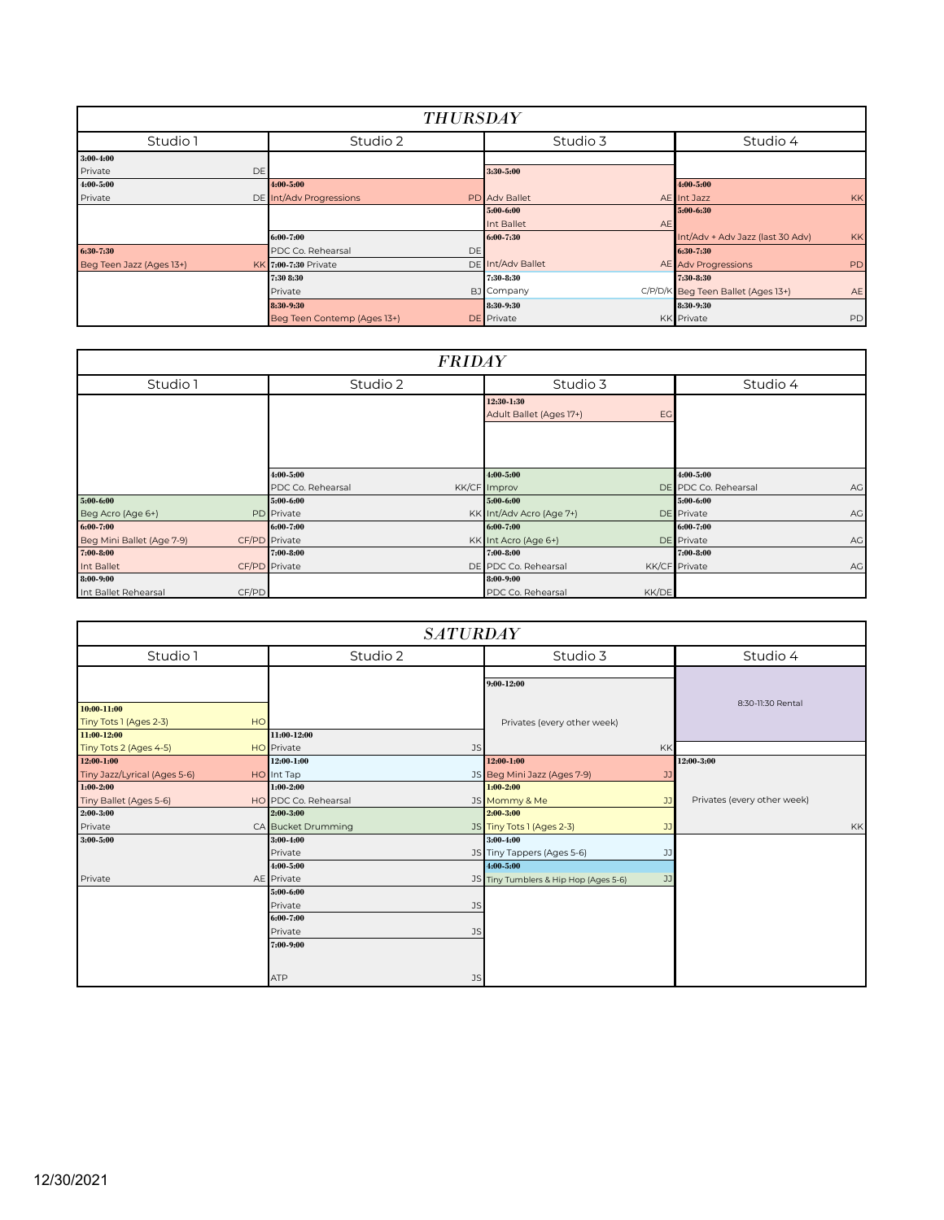| <b>THURSDAY</b>          |                             |                      |                                                 |  |  |
|--------------------------|-----------------------------|----------------------|-------------------------------------------------|--|--|
| Studio 1                 | Studio 2                    | Studio 3             | Studio 4                                        |  |  |
| $3:00 - 4:00$            |                             |                      |                                                 |  |  |
| Private<br>DE            |                             | 3:30 5:00            |                                                 |  |  |
| 4:00-5:00                | 4:00-5:00                   |                      | 4:00-5:00                                       |  |  |
| Private                  | DE Int/Adv Progressions     | <b>PD</b> Adv Ballet | <b>KK</b><br>AE Int Jazz                        |  |  |
|                          |                             | 5:00-6:00            | 5:00-6:30                                       |  |  |
|                          |                             | Int Ballet<br>AE     |                                                 |  |  |
|                          | 6:00-7:00                   | 6:00-7:30            | Int/Adv + Adv Jazz (last 30 Adv)<br><b>KK</b>   |  |  |
| 6:30 7:30                | PDC Co. Rehearsal<br>DE     |                      | 6:30 7:30                                       |  |  |
| Beg Teen Jazz (Ages 13+) | KK 7:00-7:30 Private        | DE Int/Adv Ballet    | AE Adv Progressions<br>PD                       |  |  |
|                          | 7:30 8:30                   | 7:30-8:30            | 7:30 8:30                                       |  |  |
|                          | Private                     | BJ Company           | C/P/D/K Beg Teen Ballet (Ages 13+)<br><b>AE</b> |  |  |
|                          | 8:30-9:30                   | 8:30-9:30            | 8:30-9:30                                       |  |  |
|                          | Beg Teen Contemp (Ages 13+) | <b>DE</b> Private    | PD<br>KK Private                                |  |  |

| <b>FRIDAY</b>                 |                   |                               |                            |  |
|-------------------------------|-------------------|-------------------------------|----------------------------|--|
| Studio 1                      | Studio 2          | Studio 3                      | Studio 4                   |  |
|                               |                   | 12:30-1:30                    |                            |  |
|                               |                   | Adult Ballet (Ages 17+)<br>EG |                            |  |
|                               |                   |                               |                            |  |
|                               |                   |                               |                            |  |
|                               | 4:00-5:00         | 4:00-5:00                     | 4:00-5:00                  |  |
|                               | PDC Co. Rehearsal | KK/CF Improv                  | DE PDC Co. Rehearsal<br>AG |  |
| 5:00-6:00                     | 5:00-6:00         | 5:00-6:00                     | 5:00-6:00                  |  |
| Beg Acro (Age 6+)             | <b>PD</b> Private | KK Int/Adv Acro (Age 7+)      | <b>DE</b> Private<br>AG    |  |
| 6:00-7:00                     | 6:00-7:00         | 6:00-7:00                     | $6:00 - 7:00$              |  |
| Beg Mini Ballet (Age 7-9)     | CF/PD Private     | KK Int Acro (Age 6+)          | <b>DE</b> Private<br>AG    |  |
| $7:00 - 8:00$                 | 7:00-8:00         | 7:00-8:00                     | 7:00-8:00                  |  |
| Int Ballet                    | CF/PD Private     | DE PDC Co. Rehearsal          | KK/CF Private<br>AG        |  |
| 8:00-9:00                     |                   | 8:00-9:00                     |                            |  |
| CF/PD<br>Int Ballet Rehearsal |                   | KK/DE<br>PDC Co. Rehearsal    |                            |  |

| <b>SATURDAY</b>                                      |    |                      |                                       |    |                             |    |
|------------------------------------------------------|----|----------------------|---------------------------------------|----|-----------------------------|----|
| Studio 1                                             |    | Studio 2             | Studio 3                              |    | Studio 4                    |    |
|                                                      |    |                      | $9:00 - 12:00$                        |    | 8:30-11:30 Rental           |    |
| 10:00 11:00<br>Tiny Tots 1 (Ages 2-3)<br>11:00-12:00 | HO | 11:00-12:00          | Privates (every other week)           |    |                             |    |
| Tiny Tots 2 (Ages 4-5)                               |    | HO Private<br>JS     |                                       | KK |                             |    |
| 12:00-1:00                                           |    | 12:00 1:00           | 12:00 1:00                            |    | 12:00-3:00                  |    |
| Tiny Jazz/Lyrical (Ages 5-6)                         |    | HO Int Tap           | JS Beg Mini Jazz (Ages 7-9)           | JJ |                             |    |
| $1:00 - 2:00$                                        |    | $1:00 - 2:00$        | $1:00 - 2:00$                         |    |                             |    |
| Tiny Ballet (Ages 5-6)                               |    | HO PDC Co. Rehearsal | JS Mommy & Me                         | JJ | Privates (every other week) |    |
| 2:00-3:00                                            |    | $2:00 - 3:00$        | $2:00 - 3:00$                         |    |                             |    |
| Private                                              |    | CA Bucket Drumming   | JS Tiny Tots 1 (Ages 2-3)             | JJ |                             | KK |
| 3:00-5:00                                            |    | 3:00-4:00            | 3:00-4:00                             |    |                             |    |
|                                                      |    | Private              | JS Tiny Tappers (Ages 5-6)            | JJ |                             |    |
|                                                      |    | 4:00-5:00            | 4:00-5:00                             |    |                             |    |
| Private                                              |    | AE Private           | JS Tiny Tumblers & Hip Hop (Ages 5-6) | JJ |                             |    |
|                                                      |    | 5:00-6:00            |                                       |    |                             |    |
|                                                      |    | Private<br><b>JS</b> |                                       |    |                             |    |
|                                                      |    | 6:00-7:00            |                                       |    |                             |    |
|                                                      |    | Private<br>JS        |                                       |    |                             |    |
|                                                      |    | 7:00-9:00            |                                       |    |                             |    |
|                                                      |    | <b>ATP</b><br>JS     |                                       |    |                             |    |